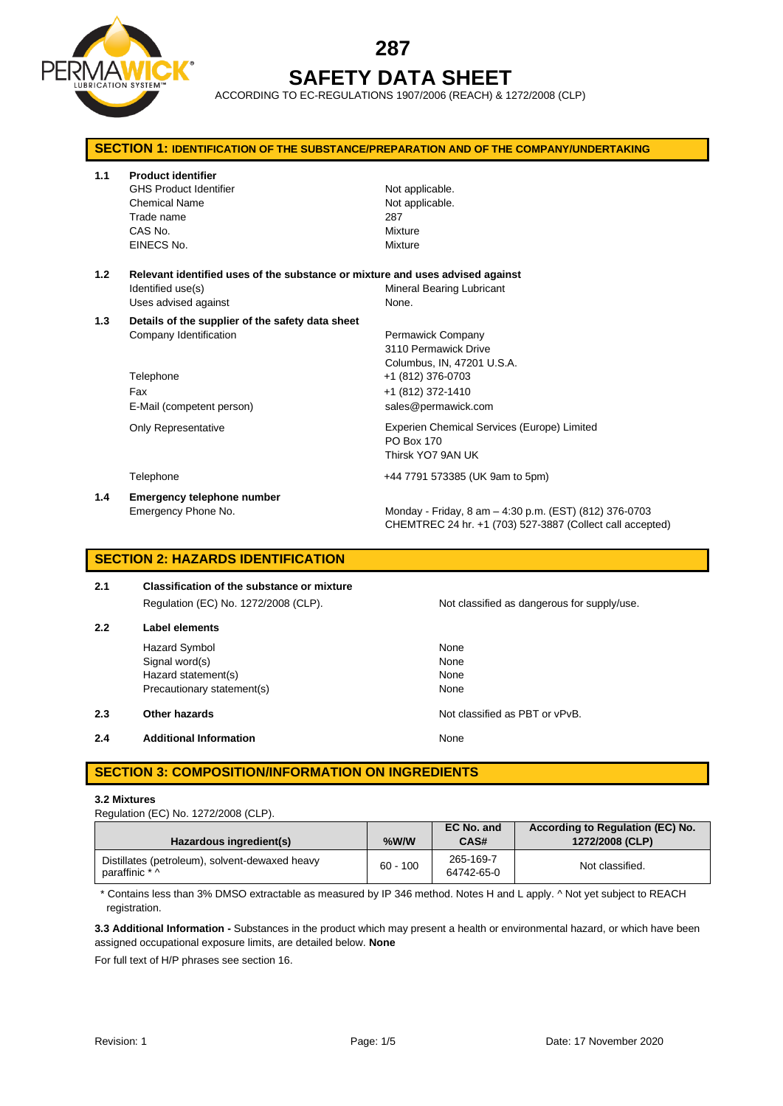

# **287 SAFETY DATA SHEET**

ACCORDING TO EC-REGULATIONS 1907/2006 (REACH) & 1272/2008 (CLP)

| <b>SECTION 1: IDENTIFICATION OF THE SUBSTANCE/PREPARATION AND OF THE COMPANY/UNDERTAKING</b> |                                                                                                                            |                                                                                                                     |  |
|----------------------------------------------------------------------------------------------|----------------------------------------------------------------------------------------------------------------------------|---------------------------------------------------------------------------------------------------------------------|--|
| 1.1                                                                                          | <b>Product identifier</b><br><b>GHS Product Identifier</b><br><b>Chemical Name</b><br>Trade name<br>CAS No.<br>EINECS No.  | Not applicable.<br>Not applicable.<br>287<br>Mixture<br>Mixture                                                     |  |
| 1.2                                                                                          | Relevant identified uses of the substance or mixture and uses advised against<br>Identified use(s)<br>Uses advised against | Mineral Bearing Lubricant<br>None.                                                                                  |  |
| 1.3                                                                                          | Details of the supplier of the safety data sheet<br>Company Identification<br>Telephone                                    | Permawick Company<br>3110 Permawick Drive<br>Columbus, IN, 47201 U.S.A.<br>+1 (812) 376-0703                        |  |
|                                                                                              | Fax<br>E-Mail (competent person)                                                                                           | +1 (812) 372-1410<br>sales@permawick.com                                                                            |  |
|                                                                                              | <b>Only Representative</b>                                                                                                 | Experien Chemical Services (Europe) Limited<br>PO Box 170<br>Thirsk YO7 9AN UK                                      |  |
|                                                                                              | Telephone                                                                                                                  | +44 7791 573385 (UK 9am to 5pm)                                                                                     |  |
| 1.4                                                                                          | Emergency telephone number<br>Emergency Phone No.                                                                          | Monday - Friday, 8 am - 4:30 p.m. (EST) (812) 376-0703<br>CHEMTREC 24 hr. +1 (703) 527-3887 (Collect call accepted) |  |

# **SECTION 2: HAZARDS IDENTIFICATION**

| 2.1 | Classification of the substance or mixture |  |  |
|-----|--------------------------------------------|--|--|
|     | Regulation (EC) No. 1272/2008 (CLP).       |  |  |
| 2.2 | Label elements                             |  |  |

Hazard Symbol None Signal word(s) None Hazard statement(s) None Precautionary statement(s) None

**2.3 Other hazards Details According to the COVID-100 Motion COVID-100 Motion COVID-100 Motion COVID-100 Motion COVID-100 Motion COVID-100 Motion COVID-100 Motion COVID-100 Motion COVID-100 Motion COVID-100 Motion COVI** 

**2.4 Additional Information None** 

# **SECTION 3: COMPOSITION/INFORMATION ON INGREDIENTS**

### **3.2 Mixtures**

Regulation (EC) No. 1272/2008 (CLP).

| Hazardous ingredient(s)                                          | %W/W       | EC No. and<br>CAS#      | According to Regulation (EC) No.<br>1272/2008 (CLP) |
|------------------------------------------------------------------|------------|-------------------------|-----------------------------------------------------|
| Distillates (petroleum), solvent-dewaxed heavy<br>paraffinic * ^ | $60 - 100$ | 265-169-7<br>64742-65-0 | Not classified.                                     |

\* Contains less than 3% DMSO extractable as measured by IP 346 method. Notes H and L apply. ^ Not yet subject to REACH registration.

**3.3 Additional Information -** Substances in the product which may present a health or environmental hazard, or which have been assigned occupational exposure limits, are detailed below. **None**

For full text of H/P phrases see section 16.

Not classified as dangerous for supply/use.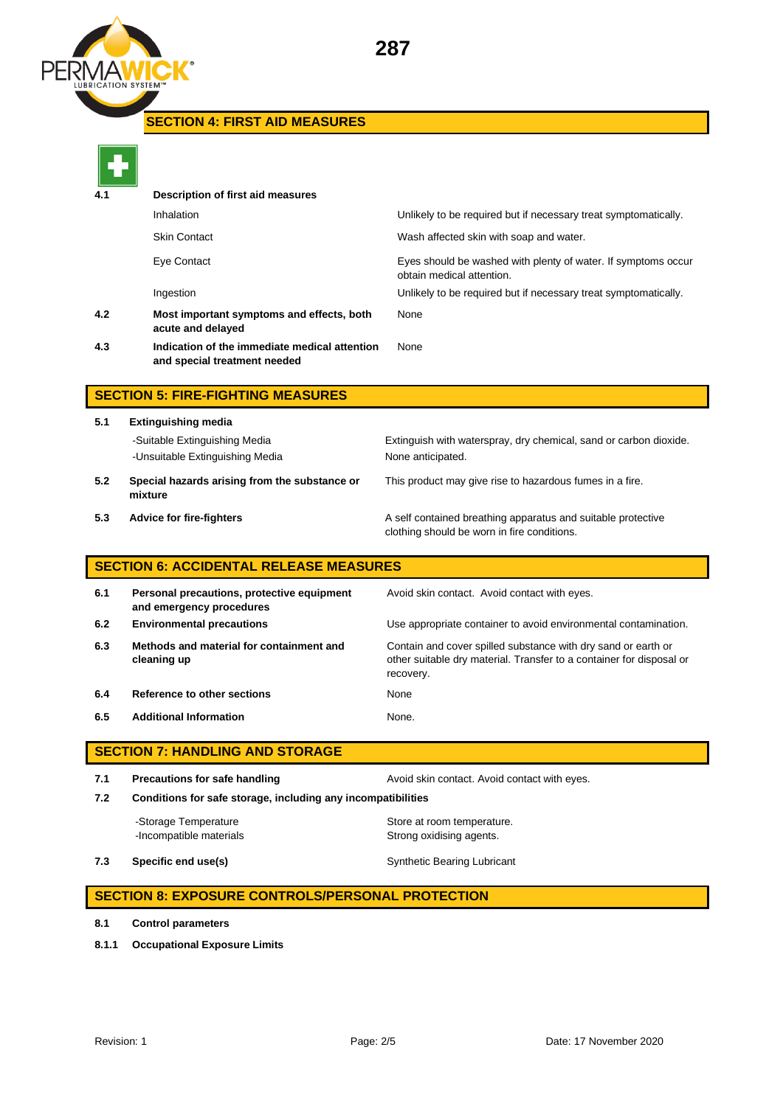

# **SECTION 4: FIRST AID MEASURES**

| 4.1 | Description of first aid measures                                             |                                                                                            |
|-----|-------------------------------------------------------------------------------|--------------------------------------------------------------------------------------------|
|     | Inhalation                                                                    | Unlikely to be required but if necessary treat symptomatically.                            |
|     | <b>Skin Contact</b>                                                           | Wash affected skin with soap and water.                                                    |
|     | Eye Contact                                                                   | Eyes should be washed with plenty of water. If symptoms occur<br>obtain medical attention. |
|     | Ingestion                                                                     | Unlikely to be required but if necessary treat symptomatically.                            |
| 4.2 | Most important symptoms and effects, both<br>acute and delayed                | None                                                                                       |
| 4.3 | Indication of the immediate medical attention<br>and special treatment needed | None                                                                                       |
|     |                                                                               |                                                                                            |

# **SECTION 5: FIRE-FIGHTING MEASURES**

- **5.1 Extinguishing media** -Suitable Extinguishing Media Extinguish with waterspray, dry chemical, sand or carbon dioxide. -Unsuitable Extinguishing Media None anticipated. **5.2 Special hazards arising from the substance or**  This product may give rise to hazardous fumes in a fire.
	-
- **mixture**
- 

**5.3 Advice for fire-fighters A self** contained breathing apparatus and suitable protective clothing should be worn in fire conditions.

# **SECTION 6: ACCIDENTAL RELEASE MEASURES**

| 6.1 | Personal precautions, protective equipment<br>and emergency procedures | Avoid skin contact. Avoid contact with eyes.                                                                                                       |
|-----|------------------------------------------------------------------------|----------------------------------------------------------------------------------------------------------------------------------------------------|
| 6.2 | <b>Environmental precautions</b>                                       | Use appropriate container to avoid environmental contamination.                                                                                    |
| 6.3 | Methods and material for containment and<br>cleaning up                | Contain and cover spilled substance with dry sand or earth or<br>other suitable dry material. Transfer to a container for disposal or<br>recovery. |
| 6.4 | Reference to other sections                                            | None                                                                                                                                               |
| 6.5 | <b>Additional Information</b>                                          | None.                                                                                                                                              |

# **SECTION 7: HANDLING AND STORAGE**

**7.1 Precautions for safe handling Avoid skin contact. Avoid contact with eyes. 7.2 Conditions for safe storage, including any incompatibilities**

-Incompatible materials **Strong oxidising agents**.

-Storage Temperature **Store at room temperature.** 

**7.3 Specific end use(s)** Synthetic Bearing Lubricant

### **SECTION 8: EXPOSURE CONTROLS/PERSONAL PROTECTION**

- **8.1 Control parameters**
- **8.1.1 Occupational Exposure Limits**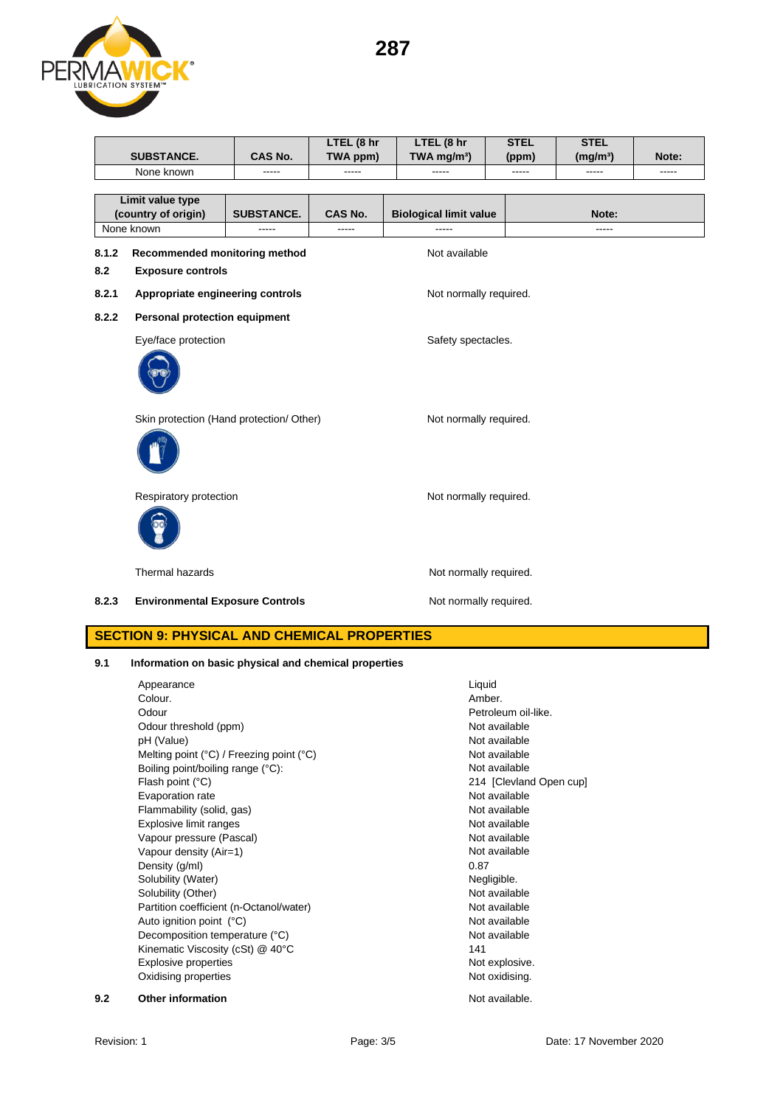**287**



|            |                                                                    |                   | LTEL (8 hr | LTEL (8 hr                    | <b>STEL</b> | <b>STEL</b>          |             |
|------------|--------------------------------------------------------------------|-------------------|------------|-------------------------------|-------------|----------------------|-------------|
|            | <b>SUBSTANCE.</b>                                                  | CAS No.           | TWA ppm)   | TWA mg/m <sup>3</sup> )       | (ppm)       | (mg/m <sup>3</sup> ) | Note:       |
|            | None known                                                         | -----             | -----      | -----                         | -----       | -----                | $- - - - -$ |
|            |                                                                    |                   |            |                               |             |                      |             |
|            | Limit value type                                                   |                   |            |                               |             |                      |             |
|            | (country of origin)                                                | <b>SUBSTANCE.</b> | CAS No.    | <b>Biological limit value</b> |             | Note:                |             |
| None known |                                                                    | -----             | -----      | -----                         |             | -----                |             |
| 8.1.2      | Recommended monitoring method                                      |                   |            | Not available                 |             |                      |             |
| 8.2        | <b>Exposure controls</b>                                           |                   |            |                               |             |                      |             |
| 8.2.1      | Appropriate engineering controls                                   |                   |            | Not normally required.        |             |                      |             |
| 8.2.2      | Personal protection equipment                                      |                   |            |                               |             |                      |             |
|            | Eye/face protection                                                |                   |            | Safety spectacles.            |             |                      |             |
|            |                                                                    |                   |            |                               |             |                      |             |
|            | Skin protection (Hand protection/ Other)<br>Not normally required. |                   |            |                               |             |                      |             |
|            |                                                                    |                   |            |                               |             |                      |             |
|            | Respiratory protection                                             |                   |            | Not normally required.        |             |                      |             |
|            |                                                                    |                   |            |                               |             |                      |             |
|            | Thermal hazards                                                    |                   |            | Not normally required.        |             |                      |             |
| 8.2.3      | <b>Environmental Exposure Controls</b>                             |                   |            | Not normally required.        |             |                      |             |

# **SECTION 9: PHYSICAL AND CHEMICAL PROPERTIES**

### **9.1 Information on basic physical and chemical properties**

Appearance Liquid Colour.<br>Colour. Colour Colour Liquid Colour Liquid Colour. Colour. Amber. Odour **Petroleum oil-like.** Odour threshold (ppm) Not available pH (Value) Not available Melting point (°C) / Freezing point (°C) Not available Boiling point/boiling range (°C): Not available Flash point (°C) 214 [Clevland Open cup] Evaporation rate Not available Flammability (solid, gas) Not available Explosive limit ranges Not available Vapour pressure (Pascal) Vapour pressure (Pascal) Vapour density (Air=1) Not available Density (g/ml) 0.87 Solubility (Water) Negligible. Solubility (Other) Not available Partition coefficient (n-Octanol/water) Not available Auto ignition point (°C) and the contract of the contract of the Not available Decomposition temperature (°C)<br>
Kinematic Viscosity (cSt) @ 40°C<br>
141 Kinematic Viscosity (cSt) @ 40°C Explosive properties Not explosive. Oxidising properties Not oxidising. **9.2 Other information Not available.**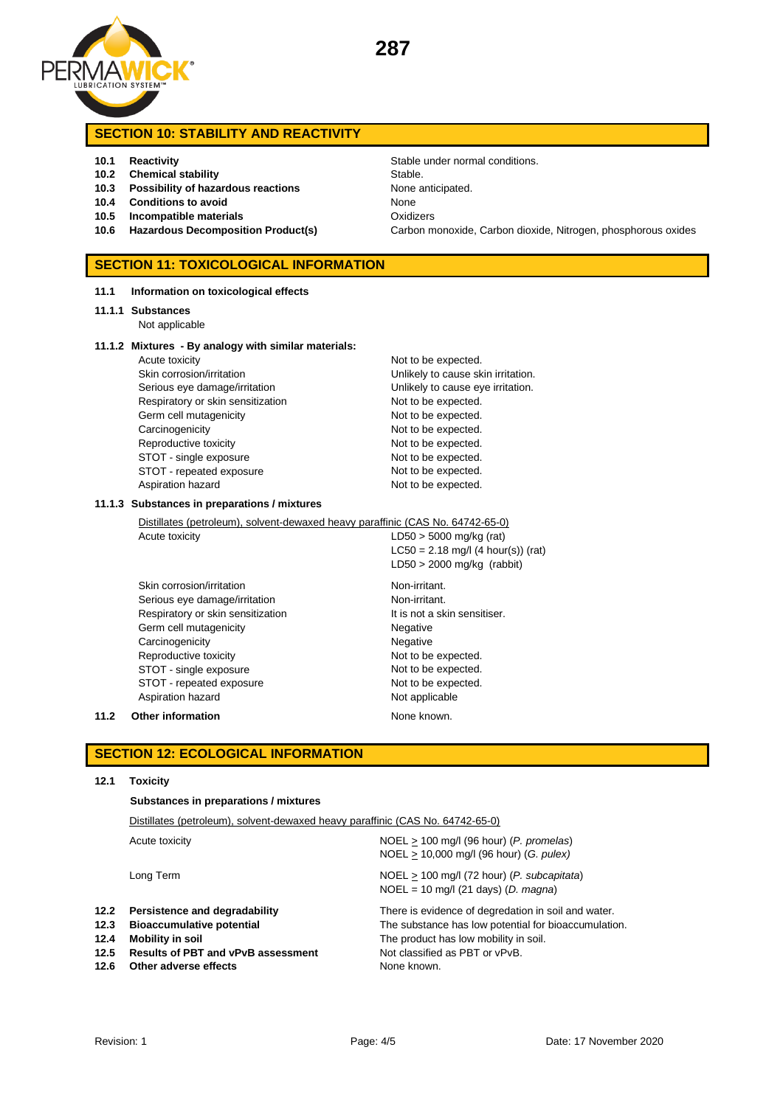

# **SECTION 10: STABILITY AND REACTIVITY**

- 
- **10.2 Chemical stability** Stable.
- **10.3 Possibility of hazardous reactions** None anticipated.
- **10.4 Conditions to avoid** None
- **10.5 Incompatible materials** Oxidizers
- 

### **SECTION 11: TOXICOLOGICAL INFORMATION**

**11.1 Information on toxicological effects**

#### **11.1.1 Substances**

Not applicable

#### **11.1.2 Mixtures - By analogy with similar materials:**

| Acute toxicity                    | Not to be expected.  |
|-----------------------------------|----------------------|
| Skin corrosion/irritation         | Unlikely to cause sk |
| Serious eye damage/irritation     | Unlikely to cause ey |
| Respiratory or skin sensitization | Not to be expected.  |
| Germ cell mutagenicity            | Not to be expected.  |
| Carcinogenicity                   | Not to be expected.  |
| Reproductive toxicity             | Not to be expected.  |
| STOT - single exposure            | Not to be expected.  |
| STOT - repeated exposure          | Not to be expected.  |
| Aspiration hazard                 | Not to be expected.  |

**10.1 Reactivity 10.1 Reactivity Stable under normal conditions. 10.6 Hazardous Decomposition Product(s)** Carbon monoxide, Carbon dioxide, Nitrogen, phosphorous oxides

> Not to be expected. Unlikely to cause skin irritation. Unlikely to cause eye irritation. Not to be expected. Not to be expected. Not to be expected. Not to be expected. Not to be expected. Not to be expected.

#### **11.1.3 Substances in preparations / mixtures**

Distillates (petroleum), solvent-dewaxed heavy paraffinic (CAS No. 64742-65-0)

Acute toxicity  $LD50 > 5000$  mg/kg (rat) LC50 = 2.18 mg/l (4 hour(s)) (rat) LD50 > 2000 mg/kg (rabbit)

Skin corrosion/irritation Non-irritant. Serious eye damage/irritation Non-irritant. Respiratory or skin sensitization It is not a skin sensitiser. Germ cell mutagenicity **Negative** Negative Carcinogenicity **Negative** Negative Reproductive toxicity Not to be expected. STOT - single exposure Not to be expected. STOT - repeated exposure Not to be expected. Aspiration hazard Not applicable

### **11.2 Other information None known.**

### **SECTION 12: ECOLOGICAL INFORMATION**

#### **12.1 Toxicity**

**Substances in preparations / mixtures**

|                                      | Distillates (petroleum), solvent-dewaxed heavy paraffinic (CAS No. 64742-65-0)                                                                              |                                                                                                                                                                                                       |  |
|--------------------------------------|-------------------------------------------------------------------------------------------------------------------------------------------------------------|-------------------------------------------------------------------------------------------------------------------------------------------------------------------------------------------------------|--|
|                                      | Acute toxicity                                                                                                                                              | $NOEL > 100$ mg/l (96 hour) (P. promelas)<br>NOEL > 10,000 mg/l (96 hour) (G. pulex)                                                                                                                  |  |
|                                      | Long Term                                                                                                                                                   | $NOEL > 100$ mg/l (72 hour) (P. subcapitata)<br>$NOEL = 10$ mg/l (21 days) (D. magna)                                                                                                                 |  |
| 12.2<br>12.3<br>12.4<br>12.5<br>12.6 | Persistence and degradability<br><b>Bioaccumulative potential</b><br>Mobility in soil<br><b>Results of PBT and vPvB assessment</b><br>Other adverse effects | There is evidence of degredation in soil and water.<br>The substance has low potential for bioaccumulation.<br>The product has low mobility in soil.<br>Not classified as PBT or vPvB.<br>None known. |  |